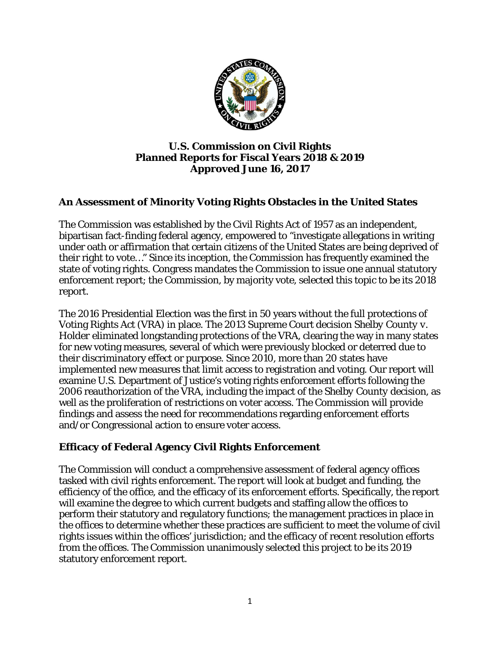

#### **U.S. Commission on Civil Rights Planned Reports for Fiscal Years 2018 & 2019 Approved June 16, 2017**

# **An Assessment of Minority Voting Rights Obstacles in the United States**

The Commission was established by the Civil Rights Act of 1957 as an independent, bipartisan fact-finding federal agency, empowered to "investigate allegations in writing under oath or affirmation that certain citizens of the United States are being deprived of their right to vote…" Since its inception, the Commission has frequently examined the state of voting rights. Congress mandates the Commission to issue one annual statutory enforcement report; the Commission, by majority vote, selected this topic to be its 2018 report.

The 2016 Presidential Election was the first in 50 years without the full protections of Voting Rights Act (VRA) in place. The 2013 Supreme Court decision *Shelby County v. Holder* eliminated longstanding protections of the VRA, clearing the way in many states for new voting measures, several of which were previously blocked or deterred due to their discriminatory effect or purpose. Since 2010, more than 20 states have implemented new measures that limit access to registration and voting. Our report will examine U.S. Department of Justice's voting rights enforcement efforts following the 2006 reauthorization of the VRA, including the impact of the *Shelby County* decision, as well as the proliferation of restrictions on voter access. The Commission will provide findings and assess the need for recommendations regarding enforcement efforts and/or Congressional action to ensure voter access.

## **Efficacy of Federal Agency Civil Rights Enforcement**

The Commission will conduct a comprehensive assessment of federal agency offices tasked with civil rights enforcement. The report will look at budget and funding, the efficiency of the office, and the efficacy of its enforcement efforts. Specifically, the report will examine the degree to which current budgets and staffing allow the offices to perform their statutory and regulatory functions; the management practices in place in the offices to determine whether these practices are sufficient to meet the volume of civil rights issues within the offices' jurisdiction; and the efficacy of recent resolution efforts from the offices. The Commission unanimously selected this project to be its 2019 statutory enforcement report.